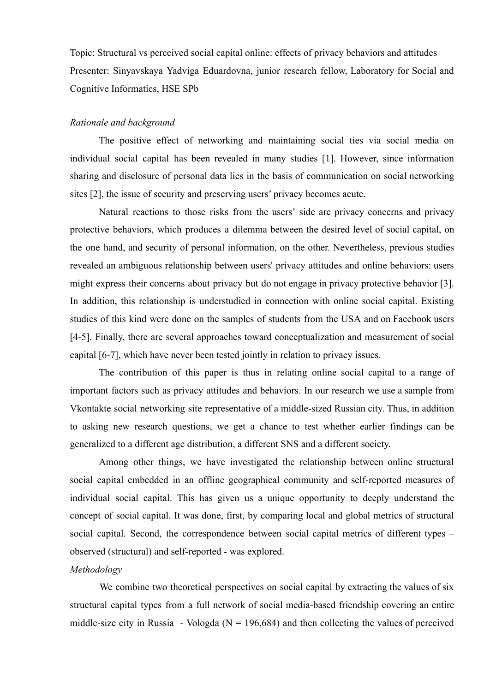Topic: Structural vs perceived social capital online: effects of privacy behaviors and attitudes Presenter: Sinyavskaya Yadviga Eduardovna, junior research fellow, Laboratory for Social and Cognitive Informatics, HSE SPb

## *Rationale and background*

The positive effect of networking and maintaining social ties via social media on individual social capital has been revealed in many studies [1]. However, since information sharing and disclosure of personal data lies in the basis of communication on social networking sites [2], the issue of security and preserving users' privacy becomes acute.

Natural reactions to those risks from the users' side are privacy concerns and privacy protective behaviors, which produces a dilemma between the desired level of social capital, on the one hand, and security of personal information, on the other. Nevertheless, previous studies revealed an ambiguous relationship between users' privacy attitudes and online behaviors: users might express their concerns about privacy but do not engage in privacy protective behavior [3]. In addition, this relationship is understudied in connection with online social capital. Existing studies of this kind were done on the samples of students from the USA and on Facebook users [4-5]. Finally, there are several approaches toward conceptualization and measurement of social capital [6-7], which have never been tested jointly in relation to privacy issues.

The contribution of this paper is thus in relating online social capital to a range of important factors such as privacy attitudes and behaviors. In our research we use a sample from Vkontakte social networking site representative of a middle-sized Russian city. Thus, in addition to asking new research questions, we get a chance to test whether earlier findings can be generalized to a different age distribution, a different SNS and a different society.

Among other things, we have investigated the relationship between online structural social capital embedded in an offline geographical community and self-reported measures of individual social capital. This has given us a unique opportunity to deeply understand the concept of social capital. It was done, first, by comparing local and global metrics of structural social capital. Second, the correspondence between social capital metrics of different types – observed (structural) and self-reported - was explored.

## *Methodology*

We combine two theoretical perspectives on social capital by extracting the values of six structural capital types from a full network of social media-based friendship covering an entire middle-size city in Russia - Vologda ( $N = 196,684$ ) and then collecting the values of perceived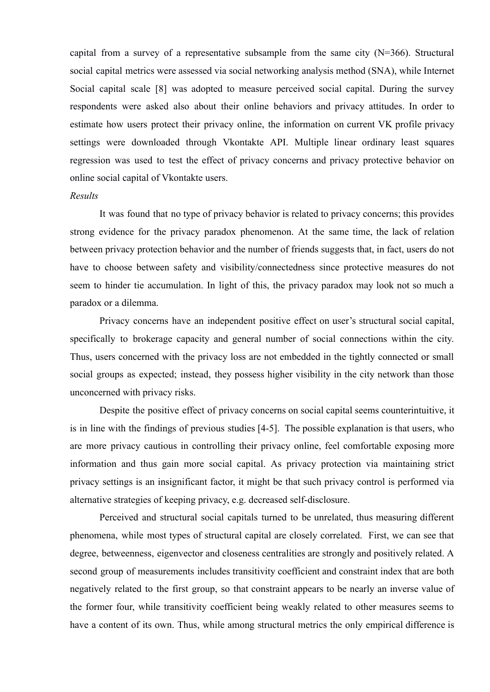capital from a survey of a representative subsample from the same city  $(N=366)$ . Structural social capital metrics were assessed via social networking analysis method (SNA), while Internet Social capital scale [8] was adopted to measure perceived social capital. During the survey respondents were asked also about their online behaviors and privacy attitudes. In order to estimate how users protect their privacy online, the information on current VK profile privacy settings were downloaded through Vkontakte API. Multiple linear ordinary least squares regression was used to test the effect of privacy concerns and privacy protective behavior on online social capital of Vkontakte users.

## *Results*

It was found that no type of privacy behavior is related to privacy concerns; this provides strong evidence for the privacy paradox phenomenon. At the same time, the lack of relation between privacy protection behavior and the number of friends suggests that, in fact, users do not have to choose between safety and visibility/connectedness since protective measures do not seem to hinder tie accumulation. In light of this, the privacy paradox may look not so much a paradox or a dilemma.

Privacy concerns have an independent positive effect on user's structural social capital, specifically to brokerage capacity and general number of social connections within the city. Thus, users concerned with the privacy loss are not embedded in the tightly connected or small social groups as expected; instead, they possess higher visibility in the city network than those unconcerned with privacy risks.

Despite the positive effect of privacy concerns on social capital seems counterintuitive, it is in line with the findings of previous studies [4-5]. The possible explanation is that users, who are more privacy cautious in controlling their privacy online, feel comfortable exposing more information and thus gain more social capital. As privacy protection via maintaining strict privacy settings is an insignificant factor, it might be that such privacy control is performed via alternative strategies of keeping privacy, e.g. decreased self-disclosure.

Perceived and structural social capitals turned to be unrelated, thus measuring different phenomena, while most types of structural capital are closely correlated. First, we can see that degree, betweenness, eigenvector and closeness centralities are strongly and positively related. A second group of measurements includes transitivity coefficient and constraint index that are both negatively related to the first group, so that constraint appears to be nearly an inverse value of the former four, while transitivity coefficient being weakly related to other measures seems to have a content of its own. Thus, while among structural metrics the only empirical difference is